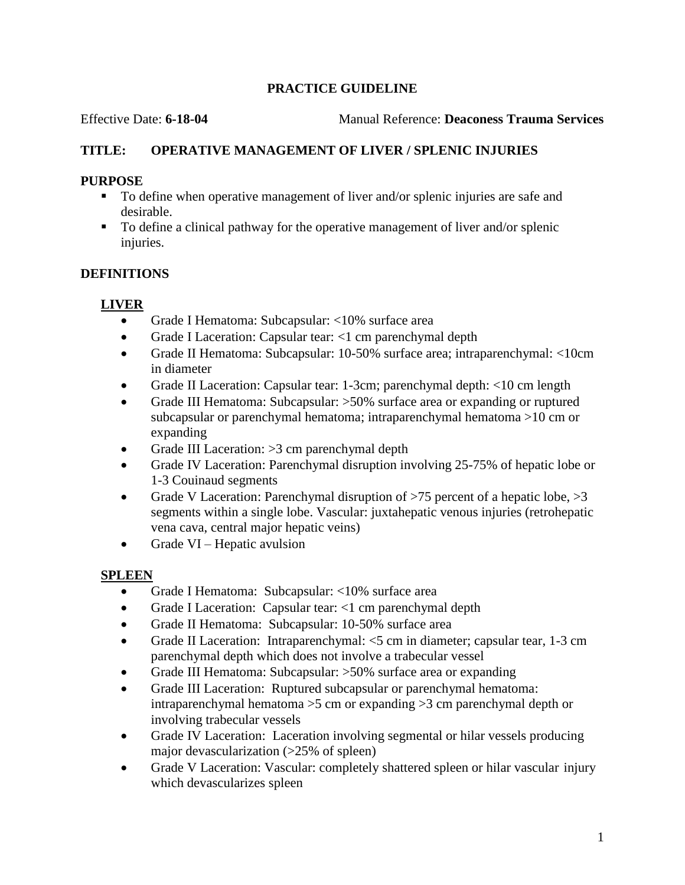# **PRACTICE GUIDELINE**

Effective Date: **6-18-04** Manual Reference: **Deaconess Trauma Services**

# **TITLE: OPERATIVE MANAGEMENT OF LIVER / SPLENIC INJURIES**

# **PURPOSE**

- To define when operative management of liver and/or splenic injuries are safe and desirable.
- To define a clinical pathway for the operative management of liver and/or splenic injuries.

# **DEFINITIONS**

# **LIVER**

- Grade I Hematoma: Subcapsular: <10% surface area
- Grade I Laceration: Capsular tear: <1 cm parenchymal depth
- Grade II Hematoma: Subcapsular: 10-50% surface area; intraparenchymal: <10cm in diameter
- Grade II Laceration: Capsular tear: 1-3cm; parenchymal depth: <10 cm length
- Grade III Hematoma: Subcapsular: >50% surface area or expanding or ruptured subcapsular or parenchymal hematoma; intraparenchymal hematoma >10 cm or expanding
- Grade III Laceration: >3 cm parenchymal depth
- Grade IV Laceration: Parenchymal disruption involving 25-75% of hepatic lobe or 1-3 Couinaud segments
- Grade V Laceration: Parenchymal disruption of  $>75$  percent of a hepatic lobe,  $>3$ segments within a single lobe. Vascular: juxtahepatic venous injuries (retrohepatic vena cava, central major hepatic veins)
- $\bullet$  Grade VI Hepatic avulsion

# **SPLEEN**

- Grade I Hematoma: Subcapsular: <10% surface area
- Grade I Laceration: Capsular tear: <1 cm parenchymal depth
- Grade II Hematoma: Subcapsular: 10-50% surface area
- Grade II Laceration: Intraparenchymal: <5 cm in diameter; capsular tear, 1-3 cm parenchymal depth which does not involve a trabecular vessel
- Grade III Hematoma: Subcapsular: >50% surface area or expanding
- Grade III Laceration: Ruptured subcapsular or parenchymal hematoma: intraparenchymal hematoma >5 cm or expanding >3 cm parenchymal depth or involving trabecular vessels
- Grade IV Laceration: Laceration involving segmental or hilar vessels producing major devascularization (>25% of spleen)
- Grade V Laceration: Vascular: completely shattered spleen or hilar vascular injury which devascularizes spleen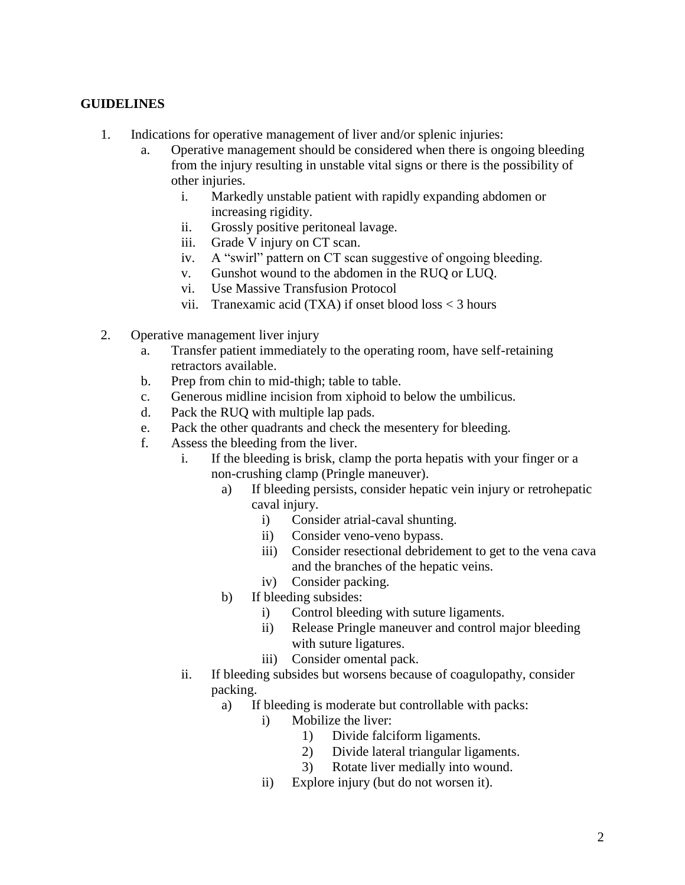#### **GUIDELINES**

- 1. Indications for operative management of liver and/or splenic injuries:
	- a. Operative management should be considered when there is ongoing bleeding from the injury resulting in unstable vital signs or there is the possibility of other injuries.
		- i. Markedly unstable patient with rapidly expanding abdomen or increasing rigidity.
		- ii. Grossly positive peritoneal lavage.
		- iii. Grade V injury on CT scan.
		- iv. A "swirl" pattern on CT scan suggestive of ongoing bleeding.
		- v. Gunshot wound to the abdomen in the RUQ or LUQ.
		- vi. Use Massive Transfusion Protocol
		- vii. Tranexamic acid (TXA) if onset blood loss < 3 hours
- 2. Operative management liver injury
	- a. Transfer patient immediately to the operating room, have self-retaining retractors available.
	- b. Prep from chin to mid-thigh; table to table.
	- c. Generous midline incision from xiphoid to below the umbilicus.
	- d. Pack the RUQ with multiple lap pads.
	- e. Pack the other quadrants and check the mesentery for bleeding.
	- f. Assess the bleeding from the liver.
		- i. If the bleeding is brisk, clamp the porta hepatis with your finger or a non-crushing clamp (Pringle maneuver).
			- a) If bleeding persists, consider hepatic vein injury or retrohepatic caval injury.
				- i) Consider atrial-caval shunting.
				- ii) Consider veno-veno bypass.
				- iii) Consider resectional debridement to get to the vena cava and the branches of the hepatic veins.
				- iv) Consider packing.
			- b) If bleeding subsides:
				- i) Control bleeding with suture ligaments.
				- ii) Release Pringle maneuver and control major bleeding with suture ligatures.
				- iii) Consider omental pack.
		- ii. If bleeding subsides but worsens because of coagulopathy, consider packing.
			- a) If bleeding is moderate but controllable with packs:
				- i) Mobilize the liver:
					- 1) Divide falciform ligaments.
					- 2) Divide lateral triangular ligaments.
					- 3) Rotate liver medially into wound.
				- ii) Explore injury (but do not worsen it).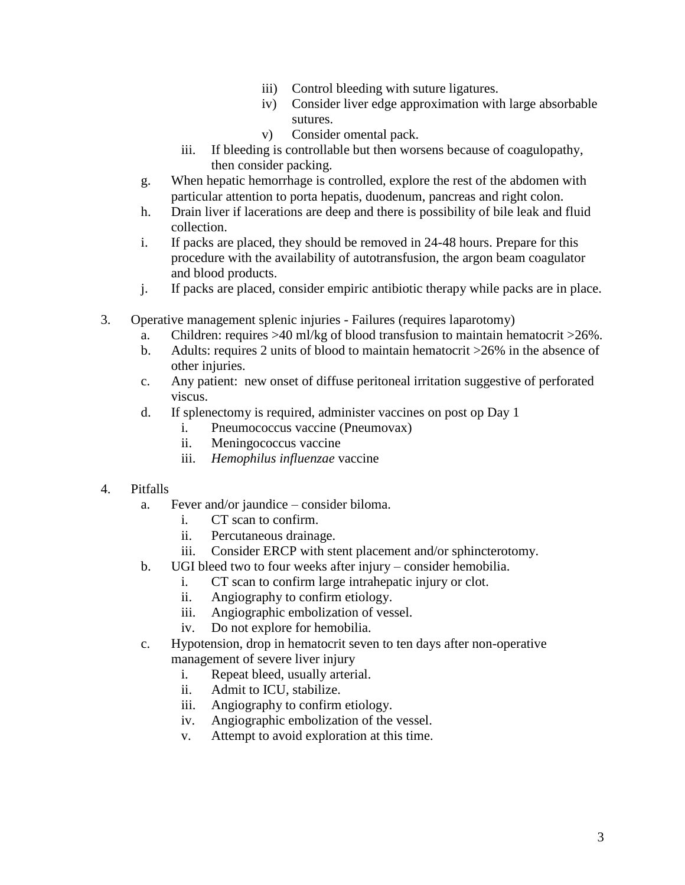- iii) Control bleeding with suture ligatures.
- iv) Consider liver edge approximation with large absorbable sutures.
- v) Consider omental pack.
- iii. If bleeding is controllable but then worsens because of coagulopathy, then consider packing.
- g. When hepatic hemorrhage is controlled, explore the rest of the abdomen with particular attention to porta hepatis, duodenum, pancreas and right colon.
- h. Drain liver if lacerations are deep and there is possibility of bile leak and fluid collection.
- i. If packs are placed, they should be removed in 24-48 hours. Prepare for this procedure with the availability of autotransfusion, the argon beam coagulator and blood products.
- j. If packs are placed, consider empiric antibiotic therapy while packs are in place.
- 3. Operative management splenic injuries Failures (requires laparotomy)
	- a. Children: requires  $>40$  ml/kg of blood transfusion to maintain hematocrit  $>26\%$ .
	- b. Adults: requires 2 units of blood to maintain hematocrit >26% in the absence of other injuries.
	- c. Any patient: new onset of diffuse peritoneal irritation suggestive of perforated viscus.
	- d. If splenectomy is required, administer vaccines on post op Day 1
		- i. Pneumococcus vaccine (Pneumovax)
		- ii. Meningococcus vaccine
		- iii. *Hemophilus influenzae* vaccine

#### 4. Pitfalls

- a. Fever and/or jaundice consider biloma.
	- i. CT scan to confirm.
	- ii. Percutaneous drainage.
	- iii. Consider ERCP with stent placement and/or sphincterotomy.
- b. UGI bleed two to four weeks after injury consider hemobilia.
	- i. CT scan to confirm large intrahepatic injury or clot.
	- ii. Angiography to confirm etiology.
	- iii. Angiographic embolization of vessel.
	- iv. Do not explore for hemobilia.
- c. Hypotension, drop in hematocrit seven to ten days after non-operative management of severe liver injury
	- i. Repeat bleed, usually arterial.
	- ii. Admit to ICU, stabilize.
	- iii. Angiography to confirm etiology.
	- iv. Angiographic embolization of the vessel.
	- v. Attempt to avoid exploration at this time.